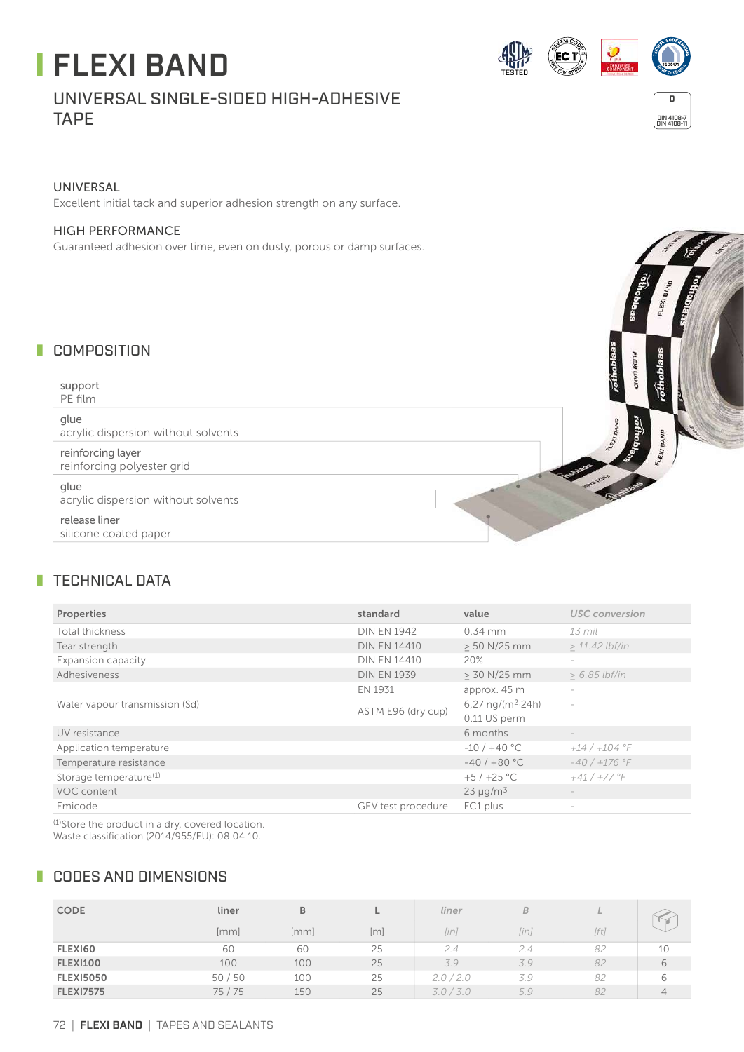# FLEXI BAND

## UNIVERSAL SINGLE-SIDED HIGH-ADHESIVE TAPE





#### UNIVERSAL

Excellent initial tack and superior adhesion strength on any surface.

#### HIGH PERFORMANCE

Guaranteed adhesion over time, even on dusty, porous or damp surfaces.

#### **COMPOSITION**

support PE film

glue acrylic dispersion without solvents

reinforcing layer reinforcing polyester grid

glue acrylic dispersion without solvents

release liner silicone coated paper



#### **TECHNICAL DATA**

| Properties                         | standard            | value                       | <b>USC</b> conversion    |  |
|------------------------------------|---------------------|-----------------------------|--------------------------|--|
| Total thickness                    | <b>DIN EN 1942</b>  | $0.34$ mm                   | 13 mil                   |  |
| Tear strength                      | <b>DIN EN 14410</b> | > 50 N/25 mm                | $> 11.42$ lbf/in         |  |
| Expansion capacity                 | <b>DIN EN 14410</b> | 20%                         | $\sim$                   |  |
| Adhesiveness                       | <b>DIN EN 1939</b>  | > 30 N/25 mm                | $> 6.85$ lbf/in          |  |
| Water vapour transmission (Sd)     | EN 1931             | approx. 45 m                | $\sim$                   |  |
|                                    | ASTM E96 (dry cup)  | $6,27 \text{ ng/(m}^2.24h)$ |                          |  |
|                                    |                     | 0.11 US perm                |                          |  |
| UV resistance                      |                     | 6 months                    | $\overline{\phantom{a}}$ |  |
| Application temperature            |                     | $-10/ + 40 °C$              | $+14/+104$ °F            |  |
| Temperature resistance             |                     | $-40/ + 80 °C$              | $-40/ +176$ °F           |  |
| Storage temperature <sup>(1)</sup> |                     | $+5/+25$ °C                 | $+41/+77$ °F             |  |
| VOC content                        |                     | $23 \mu q/m^3$              | $\overline{\phantom{a}}$ |  |
| Emicode                            | GEV test procedure  | EC1 plus                    | $\sim$                   |  |

(1)Store the product in a dry, covered location. Waste classification (2014/955/EU): 08 04 10.

#### **CODES AND DIMENSIONS**

| <b>CODE</b>      | liner   | B    |     | liner     | B    | r.,  |                |
|------------------|---------|------|-----|-----------|------|------|----------------|
|                  | [mm]    | [mm] | [m] | lini      | [in] | [ft] |                |
| <b>FLEX160</b>   | 60      | 60   | 25  | 2.4       | 2.4  | 82   | 10             |
| <b>FLEXI100</b>  | 100     | 100  | 25  | 3.9       | 3.9  | 82   | 6              |
| <b>FLEXI5050</b> | 50/50   | 100  | 25  | 2.0/2.0   | 39   | 82   | 6              |
| <b>FLEXI7575</b> | 75 / 75 | 150  | 25  | 3.0 / 3.0 | 5.9  | 82   | $\overline{4}$ |